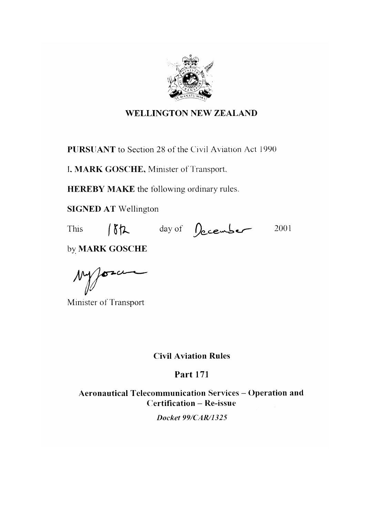

#### **WELLINGTON NEW ZEALAND**

**PURSUANT** to Section 28 of the Civil Aviation Act 1990

I, MARK GOSCHE, Minister of Transport,

**HEREBY MAKE** the following ordinary rules.

**SIGNED AT Wellington** 

**This** 

18th day of December 2001

by MARK GOSCHE

 $\gamma$ 

Minister of Transport

**Civil Aviation Rules** 

**Part 171** 

Aeronautical Telecommunication Services - Operation and **Certification - Re-issue** 

Docket 99/CAR/1325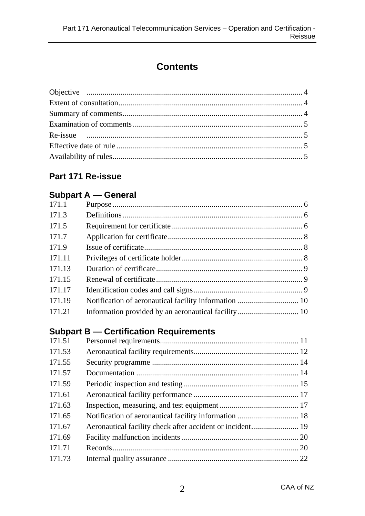# **Contents**

#### **Part 171 Re-issue**

#### **Subpart A — General**

| 171.1  |                                                       |  |
|--------|-------------------------------------------------------|--|
| 171.3  |                                                       |  |
| 171.5  |                                                       |  |
| 171.7  |                                                       |  |
| 171.9  |                                                       |  |
| 171.11 |                                                       |  |
| 171.13 |                                                       |  |
| 171.15 |                                                       |  |
| 171.17 |                                                       |  |
| 171.19 | Notification of aeronautical facility information  10 |  |
| 171.21 | Information provided by an aeronautical facility 10   |  |
|        |                                                       |  |

#### **Subpart B — Certification Requirements**

| 171.51 |                                                           |  |
|--------|-----------------------------------------------------------|--|
| 171.53 |                                                           |  |
| 171.55 |                                                           |  |
| 171.57 |                                                           |  |
| 171.59 |                                                           |  |
| 171.61 |                                                           |  |
| 171.63 |                                                           |  |
| 171.65 |                                                           |  |
| 171.67 | Aeronautical facility check after accident or incident 19 |  |
| 171.69 |                                                           |  |
| 171.71 |                                                           |  |
| 171.73 |                                                           |  |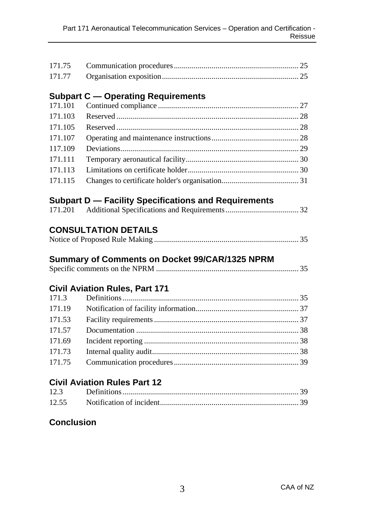| 171.75            |                                                             |  |
|-------------------|-------------------------------------------------------------|--|
| 171.77            |                                                             |  |
|                   | <b>Subpart C - Operating Requirements</b>                   |  |
| 171.101           |                                                             |  |
| 171.103           |                                                             |  |
| 171.105           |                                                             |  |
| 171.107           |                                                             |  |
| 117.109           |                                                             |  |
| 171.111           |                                                             |  |
| 171.113           |                                                             |  |
| 171.115           |                                                             |  |
|                   | <b>Subpart D - Facility Specifications and Requirements</b> |  |
| 171.201           |                                                             |  |
|                   | Summary of Comments on Docket 99/CAR/1325 NPRM              |  |
|                   |                                                             |  |
|                   | <b>Civil Aviation Rules, Part 171</b>                       |  |
| 171.3             |                                                             |  |
| 171.19            |                                                             |  |
| 171.53            |                                                             |  |
| 171.57            |                                                             |  |
| 171.69            |                                                             |  |
| 171.73            |                                                             |  |
| 171.75            |                                                             |  |
|                   | <b>Civil Aviation Rules Part 12</b>                         |  |
| 12.3              |                                                             |  |
| 12.55             |                                                             |  |
| <b>Conclusion</b> |                                                             |  |
|                   |                                                             |  |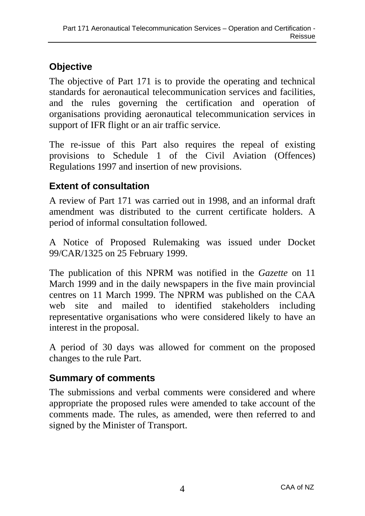# **Objective**

The objective of Part 171 is to provide the operating and technical standards for aeronautical telecommunication services and facilities, and the rules governing the certification and operation of organisations providing aeronautical telecommunication services in support of IFR flight or an air traffic service.

The re-issue of this Part also requires the repeal of existing provisions to Schedule 1 of the Civil Aviation (Offences) Regulations 1997 and insertion of new provisions.

## **Extent of consultation**

A review of Part 171 was carried out in 1998, and an informal draft amendment was distributed to the current certificate holders. A period of informal consultation followed.

A Notice of Proposed Rulemaking was issued under Docket 99/CAR/1325 on 25 February 1999.

The publication of this NPRM was notified in the *Gazette* on 11 March 1999 and in the daily newspapers in the five main provincial centres on 11 March 1999. The NPRM was published on the CAA web site and mailed to identified stakeholders including representative organisations who were considered likely to have an interest in the proposal.

A period of 30 days was allowed for comment on the proposed changes to the rule Part.

# **Summary of comments**

The submissions and verbal comments were considered and where appropriate the proposed rules were amended to take account of the comments made. The rules, as amended, were then referred to and signed by the Minister of Transport.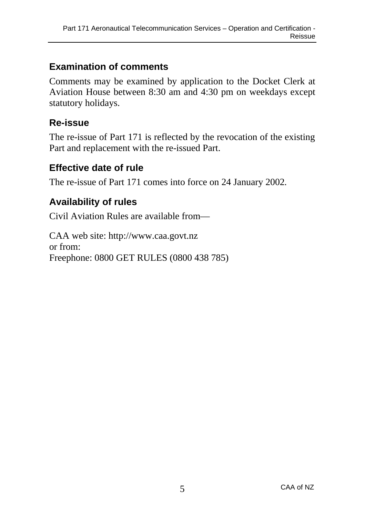### **Examination of comments**

Comments may be examined by application to the Docket Clerk at Aviation House between 8:30 am and 4:30 pm on weekdays except statutory holidays.

#### **Re-issue**

The re-issue of Part 171 is reflected by the revocation of the existing Part and replacement with the re-issued Part.

### **Effective date of rule**

The re-issue of Part 171 comes into force on 24 January 2002*.*

## **Availability of rules**

Civil Aviation Rules are available from—

CAA web site: http://www.caa.govt.nz or from: Freephone: 0800 GET RULES (0800 438 785)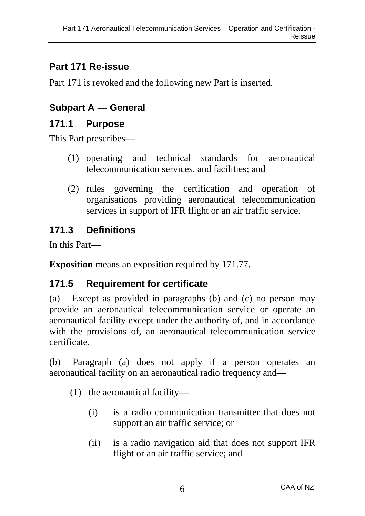## **Part 171 Re-issue**

Part 171 is revoked and the following new Part is inserted.

## **Subpart A — General**

#### **171.1 Purpose**

This Part prescribes—

- (1) operating and technical standards for aeronautical telecommunication services, and facilities; and
- (2) rules governing the certification and operation of organisations providing aeronautical telecommunication services in support of IFR flight or an air traffic service.

## **171.3 Definitions**

In this Part—

**Exposition** means an exposition required by 171.77.

## **171.5 Requirement for certificate**

(a) Except as provided in paragraphs (b) and (c) no person may provide an aeronautical telecommunication service or operate an aeronautical facility except under the authority of, and in accordance with the provisions of, an aeronautical telecommunication service certificate.

(b) Paragraph (a) does not apply if a person operates an aeronautical facility on an aeronautical radio frequency and—

- (1) the aeronautical facility—
	- (i) is a radio communication transmitter that does not support an air traffic service; or
	- (ii) is a radio navigation aid that does not support IFR flight or an air traffic service; and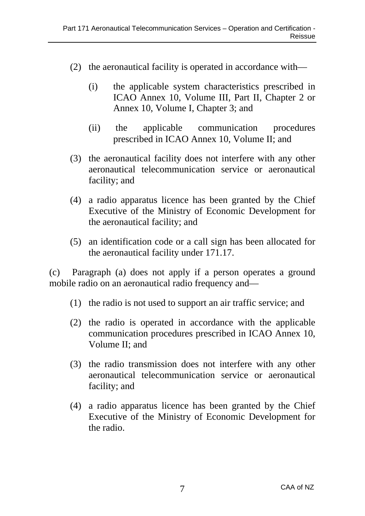- (2) the aeronautical facility is operated in accordance with—
	- (i) the applicable system characteristics prescribed in ICAO Annex 10, Volume III, Part II, Chapter 2 or Annex 10, Volume I, Chapter 3; and
	- (ii) the applicable communication procedures prescribed in ICAO Annex 10, Volume II; and
- (3) the aeronautical facility does not interfere with any other aeronautical telecommunication service or aeronautical facility; and
- (4) a radio apparatus licence has been granted by the Chief Executive of the Ministry of Economic Development for the aeronautical facility; and
- (5) an identification code or a call sign has been allocated for the aeronautical facility under 171.17.

(c) Paragraph (a) does not apply if a person operates a ground mobile radio on an aeronautical radio frequency and—

- (1) the radio is not used to support an air traffic service; and
- (2) the radio is operated in accordance with the applicable communication procedures prescribed in ICAO Annex 10, Volume II; and
- (3) the radio transmission does not interfere with any other aeronautical telecommunication service or aeronautical facility; and
- (4) a radio apparatus licence has been granted by the Chief Executive of the Ministry of Economic Development for the radio.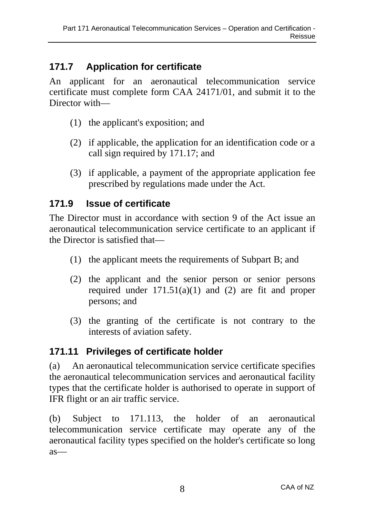## **171.7 Application for certificate**

An applicant for an aeronautical telecommunication service certificate must complete form CAA 24171/01, and submit it to the Director with—

- (1) the applicant's exposition; and
- (2) if applicable, the application for an identification code or a call sign required by 171.17; and
- (3) if applicable, a payment of the appropriate application fee prescribed by regulations made under the Act.

## **171.9 Issue of certificate**

The Director must in accordance with section 9 of the Act issue an aeronautical telecommunication service certificate to an applicant if the Director is satisfied that—

- (1) the applicant meets the requirements of Subpart B; and
- (2) the applicant and the senior person or senior persons required under  $171.51(a)(1)$  and (2) are fit and proper persons; and
- (3) the granting of the certificate is not contrary to the interests of aviation safety.

## **171.11 Privileges of certificate holder**

(a) An aeronautical telecommunication service certificate specifies the aeronautical telecommunication services and aeronautical facility types that the certificate holder is authorised to operate in support of IFR flight or an air traffic service.

(b) Subject to 171.113, the holder of an aeronautical telecommunication service certificate may operate any of the aeronautical facility types specified on the holder's certificate so long as—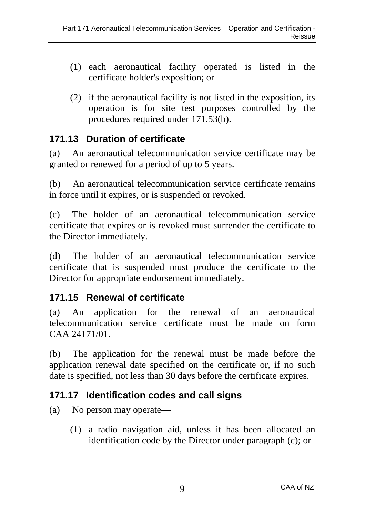- (1) each aeronautical facility operated is listed in the certificate holder's exposition; or
- (2) if the aeronautical facility is not listed in the exposition, its operation is for site test purposes controlled by the procedures required under 171.53(b).

### **171.13 Duration of certificate**

(a) An aeronautical telecommunication service certificate may be granted or renewed for a period of up to 5 years.

(b) An aeronautical telecommunication service certificate remains in force until it expires, or is suspended or revoked.

(c) The holder of an aeronautical telecommunication service certificate that expires or is revoked must surrender the certificate to the Director immediately.

(d) The holder of an aeronautical telecommunication service certificate that is suspended must produce the certificate to the Director for appropriate endorsement immediately.

## **171.15 Renewal of certificate**

(a) An application for the renewal of an aeronautical telecommunication service certificate must be made on form CAA 24171/01.

(b) The application for the renewal must be made before the application renewal date specified on the certificate or, if no such date is specified, not less than 30 days before the certificate expires.

## **171.17 Identification codes and call signs**

(a) No person may operate—

(1) a radio navigation aid, unless it has been allocated an identification code by the Director under paragraph (c); or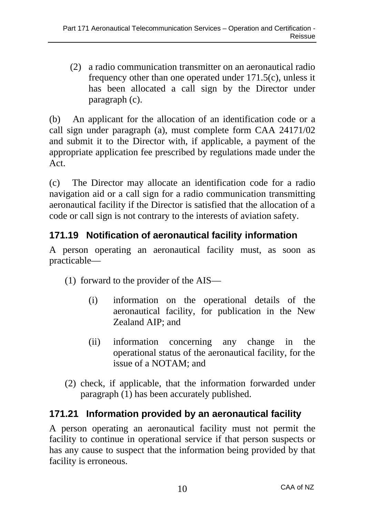(2) a radio communication transmitter on an aeronautical radio frequency other than one operated under 171.5(c), unless it has been allocated a call sign by the Director under paragraph (c).

(b) An applicant for the allocation of an identification code or a call sign under paragraph (a), must complete form CAA 24171/02 and submit it to the Director with, if applicable, a payment of the appropriate application fee prescribed by regulations made under the Act.

(c) The Director may allocate an identification code for a radio navigation aid or a call sign for a radio communication transmitting aeronautical facility if the Director is satisfied that the allocation of a code or call sign is not contrary to the interests of aviation safety.

## **171.19 Notification of aeronautical facility information**

A person operating an aeronautical facility must, as soon as practicable—

(1) forward to the provider of the AIS—

- (i) information on the operational details of the aeronautical facility, for publication in the New Zealand AIP; and
- (ii) information concerning any change in the operational status of the aeronautical facility, for the issue of a NOTAM; and
- (2) check, if applicable, that the information forwarded under paragraph (1) has been accurately published.

# **171.21 Information provided by an aeronautical facility**

A person operating an aeronautical facility must not permit the facility to continue in operational service if that person suspects or has any cause to suspect that the information being provided by that facility is erroneous.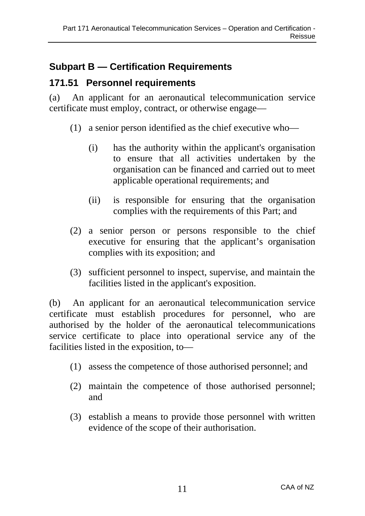## **Subpart B — Certification Requirements**

### **171.51 Personnel requirements**

(a) An applicant for an aeronautical telecommunication service certificate must employ, contract, or otherwise engage—

- (1) a senior person identified as the chief executive who—
	- (i) has the authority within the applicant's organisation to ensure that all activities undertaken by the organisation can be financed and carried out to meet applicable operational requirements; and
	- (ii) is responsible for ensuring that the organisation complies with the requirements of this Part; and
- (2) a senior person or persons responsible to the chief executive for ensuring that the applicant's organisation complies with its exposition; and
- (3) sufficient personnel to inspect, supervise, and maintain the facilities listed in the applicant's exposition.

(b) An applicant for an aeronautical telecommunication service certificate must establish procedures for personnel, who are authorised by the holder of the aeronautical telecommunications service certificate to place into operational service any of the facilities listed in the exposition, to—

- (1) assess the competence of those authorised personnel; and
- (2) maintain the competence of those authorised personnel; and
- (3) establish a means to provide those personnel with written evidence of the scope of their authorisation.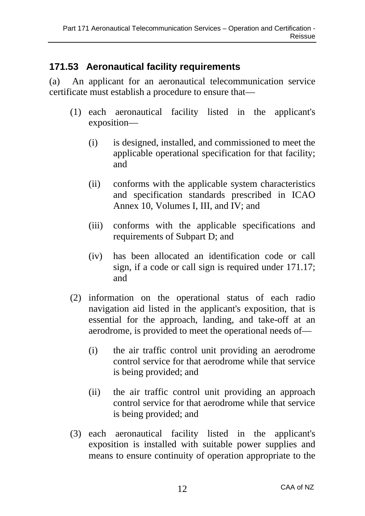## **171.53 Aeronautical facility requirements**

(a) An applicant for an aeronautical telecommunication service certificate must establish a procedure to ensure that—

- (1) each aeronautical facility listed in the applicant's exposition—
	- (i) is designed, installed, and commissioned to meet the applicable operational specification for that facility; and
	- (ii) conforms with the applicable system characteristics and specification standards prescribed in ICAO Annex 10, Volumes I, III, and IV; and
	- (iii) conforms with the applicable specifications and requirements of Subpart D; and
	- (iv) has been allocated an identification code or call sign, if a code or call sign is required under 171.17; and
- (2) information on the operational status of each radio navigation aid listed in the applicant's exposition, that is essential for the approach, landing, and take-off at an aerodrome, is provided to meet the operational needs of—
	- (i) the air traffic control unit providing an aerodrome control service for that aerodrome while that service is being provided; and
	- (ii) the air traffic control unit providing an approach control service for that aerodrome while that service is being provided; and
- (3) each aeronautical facility listed in the applicant's exposition is installed with suitable power supplies and means to ensure continuity of operation appropriate to the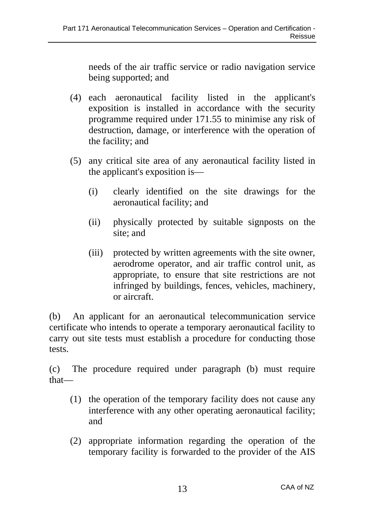needs of the air traffic service or radio navigation service being supported; and

- (4) each aeronautical facility listed in the applicant's exposition is installed in accordance with the security programme required under 171.55 to minimise any risk of destruction, damage, or interference with the operation of the facility; and
- (5) any critical site area of any aeronautical facility listed in the applicant's exposition is—
	- (i) clearly identified on the site drawings for the aeronautical facility; and
	- (ii) physically protected by suitable signposts on the site; and
	- (iii) protected by written agreements with the site owner, aerodrome operator, and air traffic control unit, as appropriate, to ensure that site restrictions are not infringed by buildings, fences, vehicles, machinery, or aircraft.

(b) An applicant for an aeronautical telecommunication service certificate who intends to operate a temporary aeronautical facility to carry out site tests must establish a procedure for conducting those tests.

(c) The procedure required under paragraph (b) must require that—

- (1) the operation of the temporary facility does not cause any interference with any other operating aeronautical facility; and
- (2) appropriate information regarding the operation of the temporary facility is forwarded to the provider of the AIS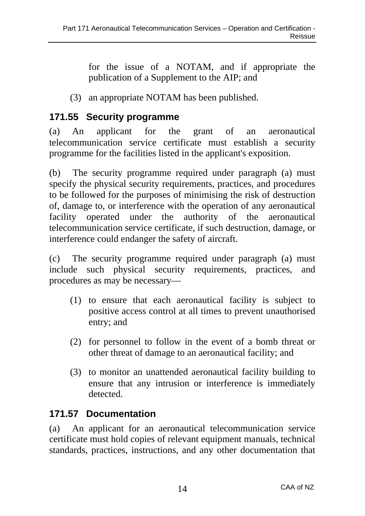for the issue of a NOTAM, and if appropriate the publication of a Supplement to the AIP; and

(3) an appropriate NOTAM has been published.

## **171.55 Security programme**

(a) An applicant for the grant of an aeronautical telecommunication service certificate must establish a security programme for the facilities listed in the applicant's exposition.

(b) The security programme required under paragraph (a) must specify the physical security requirements, practices, and procedures to be followed for the purposes of minimising the risk of destruction of, damage to, or interference with the operation of any aeronautical facility operated under the authority of the aeronautical telecommunication service certificate, if such destruction, damage, or interference could endanger the safety of aircraft.

(c) The security programme required under paragraph (a) must include such physical security requirements, practices, and procedures as may be necessary—

- (1) to ensure that each aeronautical facility is subject to positive access control at all times to prevent unauthorised entry; and
- (2) for personnel to follow in the event of a bomb threat or other threat of damage to an aeronautical facility; and
- (3) to monitor an unattended aeronautical facility building to ensure that any intrusion or interference is immediately detected.

## **171.57 Documentation**

(a) An applicant for an aeronautical telecommunication service certificate must hold copies of relevant equipment manuals, technical standards, practices, instructions, and any other documentation that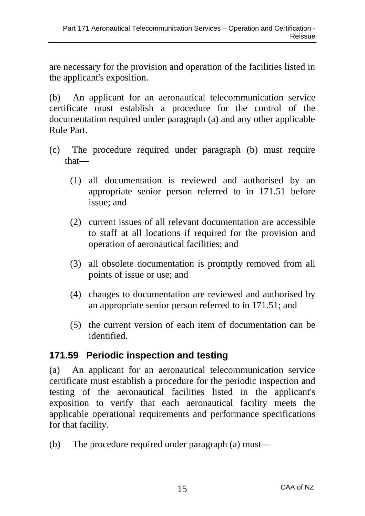are necessary for the provision and operation of the facilities listed in the applicant's exposition.

(b) An applicant for an aeronautical telecommunication service certificate must establish a procedure for the control of the documentation required under paragraph (a) and any other applicable Rule Part.

- (c) The procedure required under paragraph (b) must require that—
	- (1) all documentation is reviewed and authorised by an appropriate senior person referred to in 171.51 before issue; and
	- (2) current issues of all relevant documentation are accessible to staff at all locations if required for the provision and operation of aeronautical facilities; and
	- (3) all obsolete documentation is promptly removed from all points of issue or use; and
	- (4) changes to documentation are reviewed and authorised by an appropriate senior person referred to in 171.51; and
	- (5) the current version of each item of documentation can be identified.

## **171.59 Periodic inspection and testing**

(a) An applicant for an aeronautical telecommunication service certificate must establish a procedure for the periodic inspection and testing of the aeronautical facilities listed in the applicant's exposition to verify that each aeronautical facility meets the applicable operational requirements and performance specifications for that facility.

(b) The procedure required under paragraph (a) must—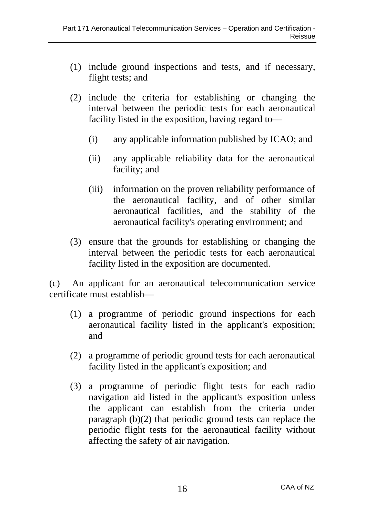- (1) include ground inspections and tests, and if necessary, flight tests; and
- (2) include the criteria for establishing or changing the interval between the periodic tests for each aeronautical facility listed in the exposition, having regard to—
	- (i) any applicable information published by ICAO; and
	- (ii) any applicable reliability data for the aeronautical facility; and
	- (iii) information on the proven reliability performance of the aeronautical facility, and of other similar aeronautical facilities, and the stability of the aeronautical facility's operating environment; and
- (3) ensure that the grounds for establishing or changing the interval between the periodic tests for each aeronautical facility listed in the exposition are documented.

(c) An applicant for an aeronautical telecommunication service certificate must establish—

- (1) a programme of periodic ground inspections for each aeronautical facility listed in the applicant's exposition; and
- (2) a programme of periodic ground tests for each aeronautical facility listed in the applicant's exposition; and
- (3) a programme of periodic flight tests for each radio navigation aid listed in the applicant's exposition unless the applicant can establish from the criteria under paragraph (b)(2) that periodic ground tests can replace the periodic flight tests for the aeronautical facility without affecting the safety of air navigation.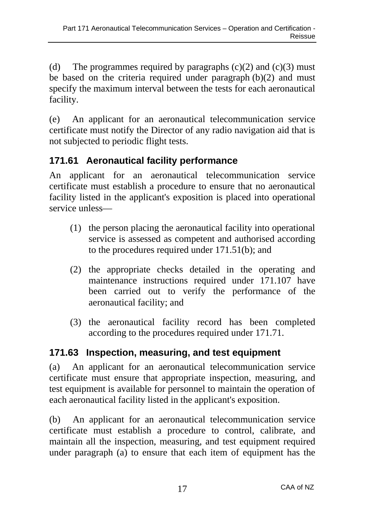(d) The programmes required by paragraphs  $(c)(2)$  and  $(c)(3)$  must be based on the criteria required under paragraph (b)(2) and must specify the maximum interval between the tests for each aeronautical facility.

(e) An applicant for an aeronautical telecommunication service certificate must notify the Director of any radio navigation aid that is not subjected to periodic flight tests.

## **171.61 Aeronautical facility performance**

An applicant for an aeronautical telecommunication service certificate must establish a procedure to ensure that no aeronautical facility listed in the applicant's exposition is placed into operational service unless—

- (1) the person placing the aeronautical facility into operational service is assessed as competent and authorised according to the procedures required under 171.51(b); and
- (2) the appropriate checks detailed in the operating and maintenance instructions required under 171.107 have been carried out to verify the performance of the aeronautical facility; and
- (3) the aeronautical facility record has been completed according to the procedures required under 171.71.

# **171.63 Inspection, measuring, and test equipment**

(a) An applicant for an aeronautical telecommunication service certificate must ensure that appropriate inspection, measuring, and test equipment is available for personnel to maintain the operation of each aeronautical facility listed in the applicant's exposition.

(b) An applicant for an aeronautical telecommunication service certificate must establish a procedure to control, calibrate, and maintain all the inspection, measuring, and test equipment required under paragraph (a) to ensure that each item of equipment has the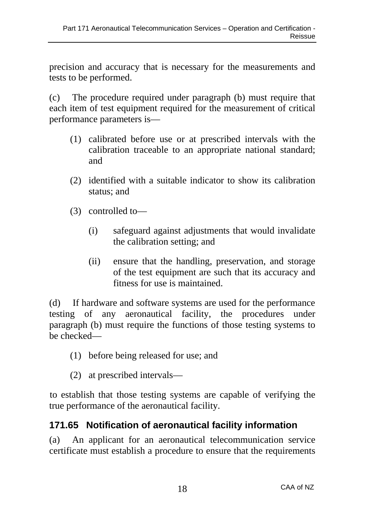precision and accuracy that is necessary for the measurements and tests to be performed.

(c) The procedure required under paragraph (b) must require that each item of test equipment required for the measurement of critical performance parameters is—

- (1) calibrated before use or at prescribed intervals with the calibration traceable to an appropriate national standard; and
- (2) identified with a suitable indicator to show its calibration status; and
- (3) controlled to—
	- (i) safeguard against adjustments that would invalidate the calibration setting; and
	- (ii) ensure that the handling, preservation, and storage of the test equipment are such that its accuracy and fitness for use is maintained.

(d) If hardware and software systems are used for the performance testing of any aeronautical facility, the procedures under paragraph (b) must require the functions of those testing systems to be checked—

- (1) before being released for use; and
- (2) at prescribed intervals—

to establish that those testing systems are capable of verifying the true performance of the aeronautical facility.

## **171.65 Notification of aeronautical facility information**

(a) An applicant for an aeronautical telecommunication service certificate must establish a procedure to ensure that the requirements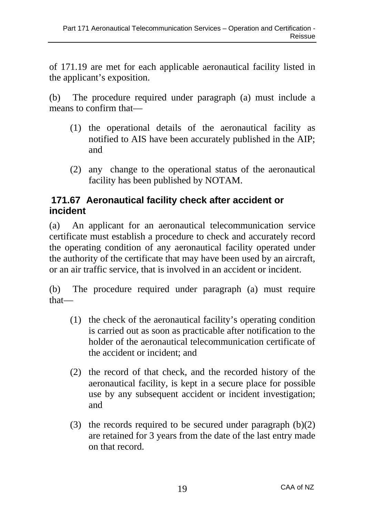of 171.19 are met for each applicable aeronautical facility listed in the applicant's exposition.

(b) The procedure required under paragraph (a) must include a means to confirm that—

- (1) the operational details of the aeronautical facility as notified to AIS have been accurately published in the AIP; and
- (2) any change to the operational status of the aeronautical facility has been published by NOTAM.

### **171.67 Aeronautical facility check after accident or incident**

(a) An applicant for an aeronautical telecommunication service certificate must establish a procedure to check and accurately record the operating condition of any aeronautical facility operated under the authority of the certificate that may have been used by an aircraft, or an air traffic service, that is involved in an accident or incident.

(b) The procedure required under paragraph (a) must require that—

- (1) the check of the aeronautical facility's operating condition is carried out as soon as practicable after notification to the holder of the aeronautical telecommunication certificate of the accident or incident; and
- (2) the record of that check, and the recorded history of the aeronautical facility, is kept in a secure place for possible use by any subsequent accident or incident investigation; and
- (3) the records required to be secured under paragraph (b)(2) are retained for 3 years from the date of the last entry made on that record.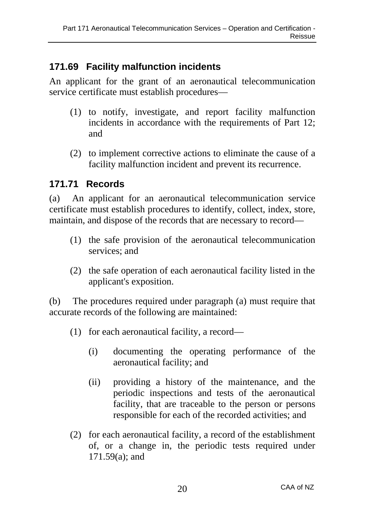## **171.69 Facility malfunction incidents**

An applicant for the grant of an aeronautical telecommunication service certificate must establish procedures—

- (1) to notify, investigate, and report facility malfunction incidents in accordance with the requirements of Part 12; and
- (2) to implement corrective actions to eliminate the cause of a facility malfunction incident and prevent its recurrence.

### **171.71 Records**

(a) An applicant for an aeronautical telecommunication service certificate must establish procedures to identify, collect, index, store, maintain, and dispose of the records that are necessary to record—

- (1) the safe provision of the aeronautical telecommunication services; and
- (2) the safe operation of each aeronautical facility listed in the applicant's exposition.

(b) The procedures required under paragraph (a) must require that accurate records of the following are maintained:

- (1) for each aeronautical facility, a record—
	- (i) documenting the operating performance of the aeronautical facility; and
	- (ii) providing a history of the maintenance, and the periodic inspections and tests of the aeronautical facility, that are traceable to the person or persons responsible for each of the recorded activities; and
- (2) for each aeronautical facility, a record of the establishment of, or a change in, the periodic tests required under 171.59(a); and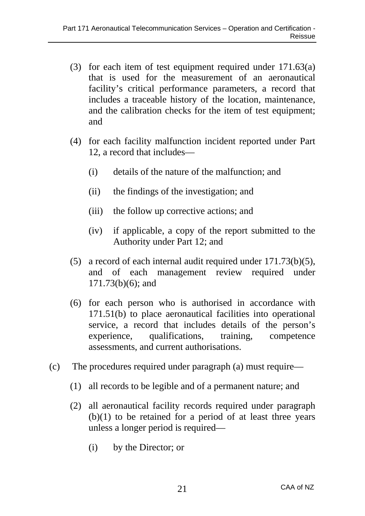- (3) for each item of test equipment required under 171.63(a) that is used for the measurement of an aeronautical facility's critical performance parameters, a record that includes a traceable history of the location, maintenance, and the calibration checks for the item of test equipment; and
- (4) for each facility malfunction incident reported under Part 12, a record that includes—
	- (i) details of the nature of the malfunction; and
	- (ii) the findings of the investigation; and
	- (iii) the follow up corrective actions; and
	- (iv) if applicable, a copy of the report submitted to the Authority under Part 12; and
- (5) a record of each internal audit required under 171.73(b)(5), and of each management review required under 171.73(b)(6); and
- (6) for each person who is authorised in accordance with 171.51(b) to place aeronautical facilities into operational service, a record that includes details of the person's experience, qualifications, training, competence assessments, and current authorisations.
- (c) The procedures required under paragraph (a) must require—
	- (1) all records to be legible and of a permanent nature; and
	- (2) all aeronautical facility records required under paragraph  $(b)(1)$  to be retained for a period of at least three years unless a longer period is required—
		- (i) by the Director; or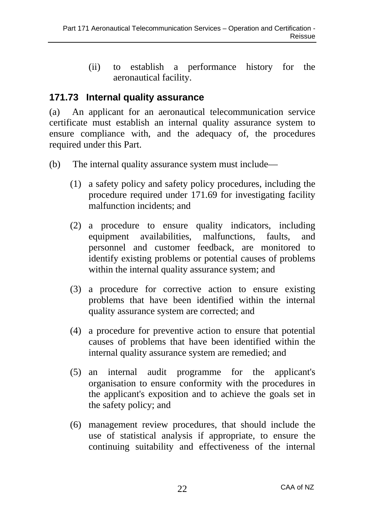(ii) to establish a performance history for the aeronautical facility.

#### **171.73 Internal quality assurance**

(a) An applicant for an aeronautical telecommunication service certificate must establish an internal quality assurance system to ensure compliance with, and the adequacy of, the procedures required under this Part.

- (b) The internal quality assurance system must include—
	- (1) a safety policy and safety policy procedures, including the procedure required under 171.69 for investigating facility malfunction incidents; and
	- (2) a procedure to ensure quality indicators, including equipment availabilities, malfunctions, faults, and personnel and customer feedback, are monitored to identify existing problems or potential causes of problems within the internal quality assurance system; and
	- (3) a procedure for corrective action to ensure existing problems that have been identified within the internal quality assurance system are corrected; and
	- (4) a procedure for preventive action to ensure that potential causes of problems that have been identified within the internal quality assurance system are remedied; and
	- (5) an internal audit programme for the applicant's organisation to ensure conformity with the procedures in the applicant's exposition and to achieve the goals set in the safety policy; and
	- (6) management review procedures, that should include the use of statistical analysis if appropriate, to ensure the continuing suitability and effectiveness of the internal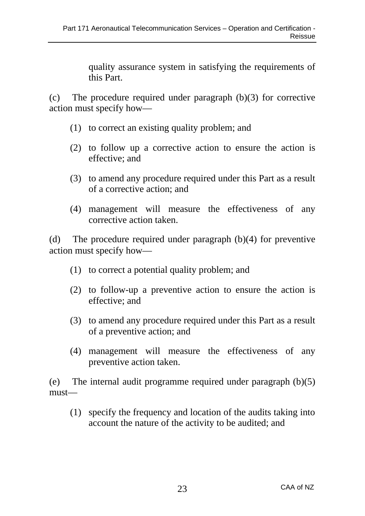quality assurance system in satisfying the requirements of this Part.

(c) The procedure required under paragraph (b)(3) for corrective action must specify how—

- (1) to correct an existing quality problem; and
- (2) to follow up a corrective action to ensure the action is effective; and
- (3) to amend any procedure required under this Part as a result of a corrective action; and
- (4) management will measure the effectiveness of any corrective action taken.

(d) The procedure required under paragraph (b)(4) for preventive action must specify how—

- (1) to correct a potential quality problem; and
- (2) to follow-up a preventive action to ensure the action is effective; and
- (3) to amend any procedure required under this Part as a result of a preventive action; and
- (4) management will measure the effectiveness of any preventive action taken.

(e) The internal audit programme required under paragraph (b)(5) must—

(1) specify the frequency and location of the audits taking into account the nature of the activity to be audited; and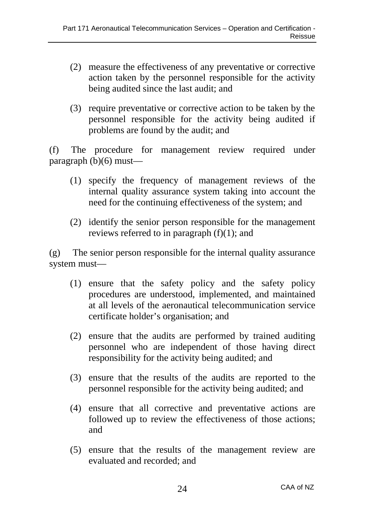- (2) measure the effectiveness of any preventative or corrective action taken by the personnel responsible for the activity being audited since the last audit; and
- (3) require preventative or corrective action to be taken by the personnel responsible for the activity being audited if problems are found by the audit; and

(f) The procedure for management review required under paragraph (b)(6) must—

- (1) specify the frequency of management reviews of the internal quality assurance system taking into account the need for the continuing effectiveness of the system; and
- (2) identify the senior person responsible for the management reviews referred to in paragraph  $(f)(1)$ ; and

(g) The senior person responsible for the internal quality assurance system must—

- (1) ensure that the safety policy and the safety policy procedures are understood, implemented, and maintained at all levels of the aeronautical telecommunication service certificate holder's organisation; and
- (2) ensure that the audits are performed by trained auditing personnel who are independent of those having direct responsibility for the activity being audited; and
- (3) ensure that the results of the audits are reported to the personnel responsible for the activity being audited; and
- (4) ensure that all corrective and preventative actions are followed up to review the effectiveness of those actions; and
- (5) ensure that the results of the management review are evaluated and recorded; and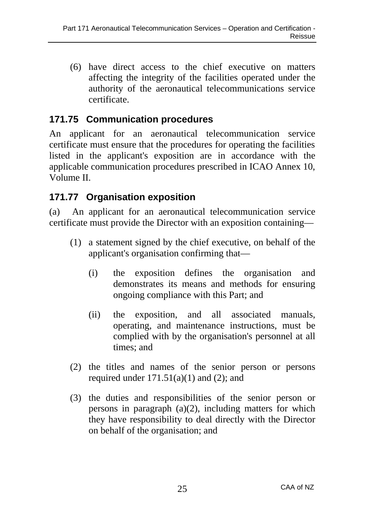(6) have direct access to the chief executive on matters affecting the integrity of the facilities operated under the authority of the aeronautical telecommunications service certificate.

### **171.75 Communication procedures**

An applicant for an aeronautical telecommunication service certificate must ensure that the procedures for operating the facilities listed in the applicant's exposition are in accordance with the applicable communication procedures prescribed in ICAO Annex 10, Volume II.

### **171.77 Organisation exposition**

(a) An applicant for an aeronautical telecommunication service certificate must provide the Director with an exposition containing—

- (1) a statement signed by the chief executive, on behalf of the applicant's organisation confirming that—
	- (i) the exposition defines the organisation and demonstrates its means and methods for ensuring ongoing compliance with this Part; and
	- (ii) the exposition, and all associated manuals, operating, and maintenance instructions, must be complied with by the organisation's personnel at all times; and
- (2) the titles and names of the senior person or persons required under  $171.51(a)(1)$  and  $(2)$ ; and
- (3) the duties and responsibilities of the senior person or persons in paragraph (a)(2), including matters for which they have responsibility to deal directly with the Director on behalf of the organisation; and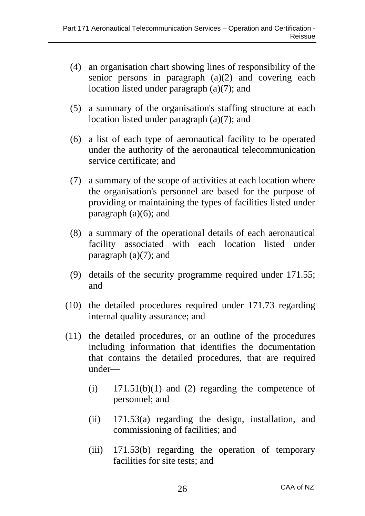- (4) an organisation chart showing lines of responsibility of the senior persons in paragraph (a)(2) and covering each location listed under paragraph (a)(7); and
- (5) a summary of the organisation's staffing structure at each location listed under paragraph (a)(7); and
- (6) a list of each type of aeronautical facility to be operated under the authority of the aeronautical telecommunication service certificate; and
- (7) a summary of the scope of activities at each location where the organisation's personnel are based for the purpose of providing or maintaining the types of facilities listed under paragraph  $(a)(6)$ ; and
- (8) a summary of the operational details of each aeronautical facility associated with each location listed under paragraph  $(a)(7)$ ; and
- (9) details of the security programme required under 171.55; and
- (10) the detailed procedures required under 171.73 regarding internal quality assurance; and
- (11) the detailed procedures, or an outline of the procedures including information that identifies the documentation that contains the detailed procedures, that are required under—
	- $(i)$  171.51(b)(1) and (2) regarding the competence of personnel; and
	- (ii) 171.53(a) regarding the design, installation, and commissioning of facilities; and
	- (iii) 171.53(b) regarding the operation of temporary facilities for site tests; and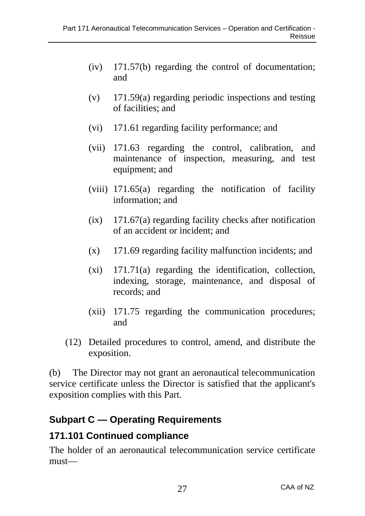- (iv) 171.57(b) regarding the control of documentation; and
- (v) 171.59(a) regarding periodic inspections and testing of facilities; and
- (vi) 171.61 regarding facility performance; and
- (vii) 171.63 regarding the control, calibration, and maintenance of inspection, measuring, and test equipment; and
- (viii) 171.65(a) regarding the notification of facility information; and
- $(ix)$  171.67(a) regarding facility checks after notification of an accident or incident; and
- (x) 171.69 regarding facility malfunction incidents; and
- (xi) 171.71(a) regarding the identification, collection, indexing, storage, maintenance, and disposal of records; and
- (xii) 171.75 regarding the communication procedures; and
- (12) Detailed procedures to control, amend, and distribute the exposition.

(b) The Director may not grant an aeronautical telecommunication service certificate unless the Director is satisfied that the applicant's exposition complies with this Part.

## **Subpart C — Operating Requirements**

#### **171.101 Continued compliance**

The holder of an aeronautical telecommunication service certificate must—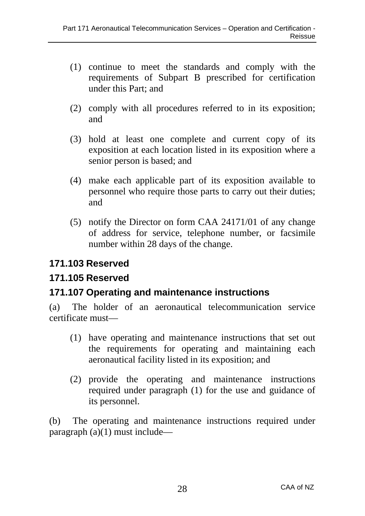- (1) continue to meet the standards and comply with the requirements of Subpart B prescribed for certification under this Part; and
- (2) comply with all procedures referred to in its exposition; and
- (3) hold at least one complete and current copy of its exposition at each location listed in its exposition where a senior person is based; and
- (4) make each applicable part of its exposition available to personnel who require those parts to carry out their duties; and
- (5) notify the Director on form CAA 24171/01 of any change of address for service, telephone number, or facsimile number within 28 days of the change.

#### **171.103 Reserved**

### **171.105 Reserved**

### **171.107 Operating and maintenance instructions**

(a) The holder of an aeronautical telecommunication service certificate must—

- (1) have operating and maintenance instructions that set out the requirements for operating and maintaining each aeronautical facility listed in its exposition; and
- (2) provide the operating and maintenance instructions required under paragraph (1) for the use and guidance of its personnel.

(b) The operating and maintenance instructions required under paragraph  $(a)(1)$  must include—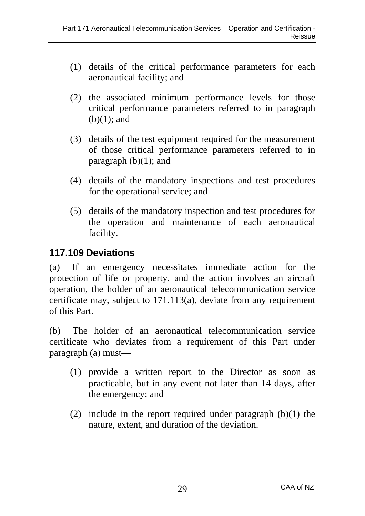- (1) details of the critical performance parameters for each aeronautical facility; and
- (2) the associated minimum performance levels for those critical performance parameters referred to in paragraph  $(b)(1)$ ; and
- (3) details of the test equipment required for the measurement of those critical performance parameters referred to in paragraph  $(b)(1)$ ; and
- (4) details of the mandatory inspections and test procedures for the operational service; and
- (5) details of the mandatory inspection and test procedures for the operation and maintenance of each aeronautical facility.

#### **117.109 Deviations**

(a) If an emergency necessitates immediate action for the protection of life or property, and the action involves an aircraft operation, the holder of an aeronautical telecommunication service certificate may, subject to 171.113(a), deviate from any requirement of this Part.

(b) The holder of an aeronautical telecommunication service certificate who deviates from a requirement of this Part under paragraph (a) must—

- (1) provide a written report to the Director as soon as practicable, but in any event not later than 14 days, after the emergency; and
- (2) include in the report required under paragraph  $(b)(1)$  the nature, extent, and duration of the deviation.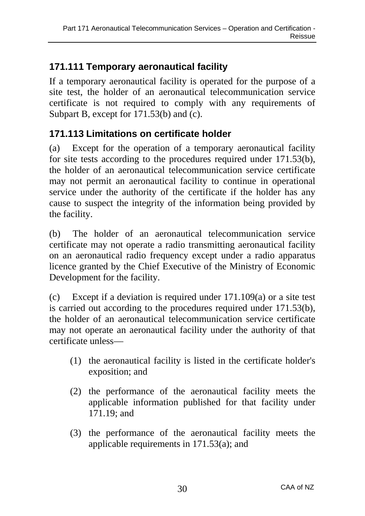## **171.111 Temporary aeronautical facility**

If a temporary aeronautical facility is operated for the purpose of a site test, the holder of an aeronautical telecommunication service certificate is not required to comply with any requirements of Subpart B, except for 171.53(b) and (c).

## **171.113 Limitations on certificate holder**

(a) Except for the operation of a temporary aeronautical facility for site tests according to the procedures required under 171.53(b), the holder of an aeronautical telecommunication service certificate may not permit an aeronautical facility to continue in operational service under the authority of the certificate if the holder has any cause to suspect the integrity of the information being provided by the facility.

(b) The holder of an aeronautical telecommunication service certificate may not operate a radio transmitting aeronautical facility on an aeronautical radio frequency except under a radio apparatus licence granted by the Chief Executive of the Ministry of Economic Development for the facility.

(c) Except if a deviation is required under 171.109(a) or a site test is carried out according to the procedures required under 171.53(b), the holder of an aeronautical telecommunication service certificate may not operate an aeronautical facility under the authority of that certificate unless—

- (1) the aeronautical facility is listed in the certificate holder's exposition; and
- (2) the performance of the aeronautical facility meets the applicable information published for that facility under 171.19; and
- (3) the performance of the aeronautical facility meets the applicable requirements in 171.53(a); and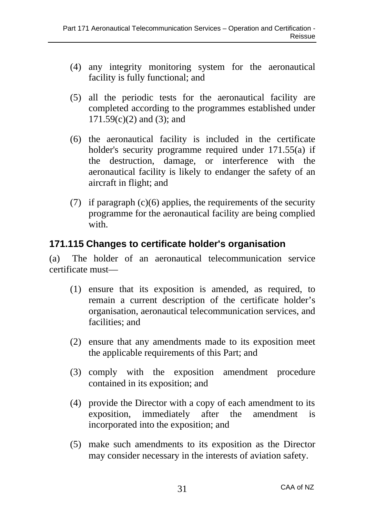- (4) any integrity monitoring system for the aeronautical facility is fully functional; and
- (5) all the periodic tests for the aeronautical facility are completed according to the programmes established under  $171.59(c)(2)$  and  $(3)$ ; and
- (6) the aeronautical facility is included in the certificate holder's security programme required under 171.55(a) if the destruction, damage, or interference with the aeronautical facility is likely to endanger the safety of an aircraft in flight; and
- (7) if paragraph (c)(6) applies, the requirements of the security programme for the aeronautical facility are being complied with

#### **171.115 Changes to certificate holder's organisation**

(a) The holder of an aeronautical telecommunication service certificate must—

- (1) ensure that its exposition is amended, as required, to remain a current description of the certificate holder's organisation, aeronautical telecommunication services, and facilities: and
- (2) ensure that any amendments made to its exposition meet the applicable requirements of this Part; and
- (3) comply with the exposition amendment procedure contained in its exposition; and
- (4) provide the Director with a copy of each amendment to its exposition, immediately after the amendment is incorporated into the exposition; and
- (5) make such amendments to its exposition as the Director may consider necessary in the interests of aviation safety.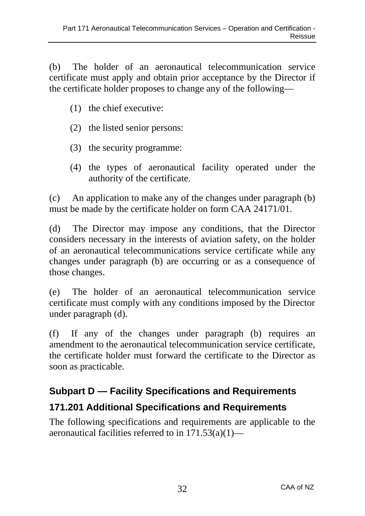(b) The holder of an aeronautical telecommunication service certificate must apply and obtain prior acceptance by the Director if the certificate holder proposes to change any of the following—

- (1) the chief executive:
- (2) the listed senior persons:
- (3) the security programme:
- (4) the types of aeronautical facility operated under the authority of the certificate.

(c) An application to make any of the changes under paragraph (b) must be made by the certificate holder on form CAA 24171/01.

(d) The Director may impose any conditions, that the Director considers necessary in the interests of aviation safety, on the holder of an aeronautical telecommunications service certificate while any changes under paragraph (b) are occurring or as a consequence of those changes.

(e) The holder of an aeronautical telecommunication service certificate must comply with any conditions imposed by the Director under paragraph (d).

(f) If any of the changes under paragraph (b) requires an amendment to the aeronautical telecommunication service certificate, the certificate holder must forward the certificate to the Director as soon as practicable.

# **Subpart D — Facility Specifications and Requirements**

### **171.201 Additional Specifications and Requirements**

The following specifications and requirements are applicable to the aeronautical facilities referred to in 171.53(a)(1)—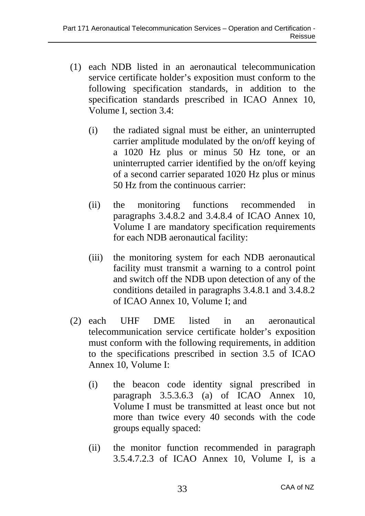- (1) each NDB listed in an aeronautical telecommunication service certificate holder's exposition must conform to the following specification standards, in addition to the specification standards prescribed in ICAO Annex 10, Volume I, section 3.4:
	- (i) the radiated signal must be either, an uninterrupted carrier amplitude modulated by the on/off keying of a 1020 Hz plus or minus 50 Hz tone, or an uninterrupted carrier identified by the on/off keying of a second carrier separated 1020 Hz plus or minus 50 Hz from the continuous carrier:
	- (ii) the monitoring functions recommended in paragraphs 3.4.8.2 and 3.4.8.4 of ICAO Annex 10, Volume I are mandatory specification requirements for each NDB aeronautical facility:
	- (iii) the monitoring system for each NDB aeronautical facility must transmit a warning to a control point and switch off the NDB upon detection of any of the conditions detailed in paragraphs 3.4.8.1 and 3.4.8.2 of ICAO Annex 10, Volume I; and
- (2) each UHF DME listed in an aeronautical telecommunication service certificate holder's exposition must conform with the following requirements, in addition to the specifications prescribed in section 3.5 of ICAO Annex 10, Volume I:
	- (i) the beacon code identity signal prescribed in paragraph 3.5.3.6.3 (a) of ICAO Annex 10, Volume I must be transmitted at least once but not more than twice every 40 seconds with the code groups equally spaced:
	- (ii) the monitor function recommended in paragraph 3.5.4.7.2.3 of ICAO Annex 10, Volume I, is a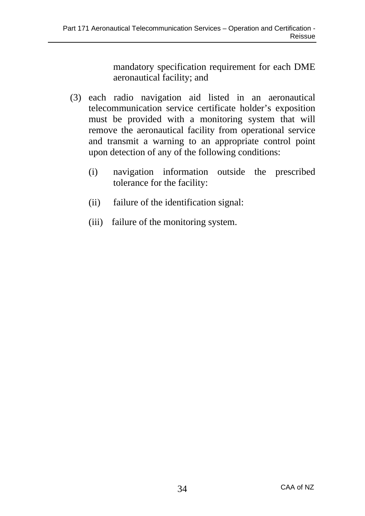mandatory specification requirement for each DME aeronautical facility; and

- (3) each radio navigation aid listed in an aeronautical telecommunication service certificate holder's exposition must be provided with a monitoring system that will remove the aeronautical facility from operational service and transmit a warning to an appropriate control point upon detection of any of the following conditions:
	- (i) navigation information outside the prescribed tolerance for the facility:
	- (ii) failure of the identification signal:
	- (iii) failure of the monitoring system.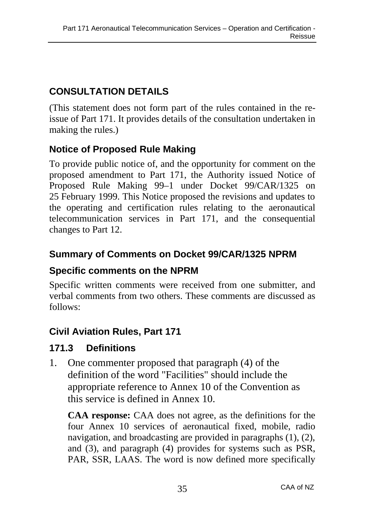## **CONSULTATION DETAILS**

(This statement does not form part of the rules contained in the reissue of Part 171. It provides details of the consultation undertaken in making the rules.)

## **Notice of Proposed Rule Making**

To provide public notice of, and the opportunity for comment on the proposed amendment to Part 171, the Authority issued Notice of Proposed Rule Making 99–1 under Docket 99/CAR/1325 on 25 February 1999. This Notice proposed the revisions and updates to the operating and certification rules relating to the aeronautical telecommunication services in Part 171, and the consequential changes to Part 12.

## **Summary of Comments on Docket 99/CAR/1325 NPRM**

## **Specific comments on the NPRM**

Specific written comments were received from one submitter, and verbal comments from two others. These comments are discussed as follows:

# **Civil Aviation Rules, Part 171**

## **171.3 Definitions**

1. One commenter proposed that paragraph (4) of the definition of the word "Facilities" should include the appropriate reference to Annex 10 of the Convention as this service is defined in Annex 10.

**CAA response:** CAA does not agree, as the definitions for the four Annex 10 services of aeronautical fixed, mobile, radio navigation, and broadcasting are provided in paragraphs (1), (2), and (3), and paragraph (4) provides for systems such as PSR, PAR, SSR, LAAS. The word is now defined more specifically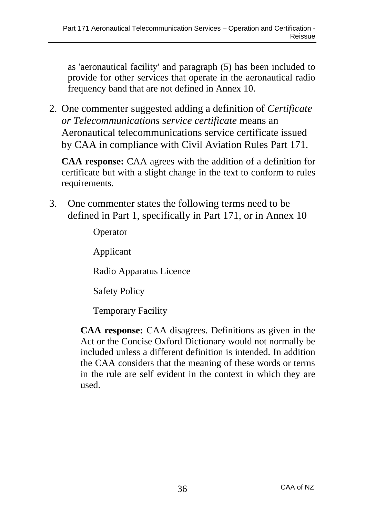as 'aeronautical facility' and paragraph (5) has been included to provide for other services that operate in the aeronautical radio frequency band that are not defined in Annex 10.

2. One commenter suggested adding a definition of *Certificate or Telecommunications service certificate* means an Aeronautical telecommunications service certificate issued by CAA in compliance with Civil Aviation Rules Part 171.

**CAA response:** CAA agrees with the addition of a definition for certificate but with a slight change in the text to conform to rules requirements.

3. One commenter states the following terms need to be defined in Part 1, specifically in Part 171, or in Annex 10

Operator

Applicant

Radio Apparatus Licence

Safety Policy

Temporary Facility

**CAA response:** CAA disagrees. Definitions as given in the Act or the Concise Oxford Dictionary would not normally be included unless a different definition is intended. In addition the CAA considers that the meaning of these words or terms in the rule are self evident in the context in which they are used.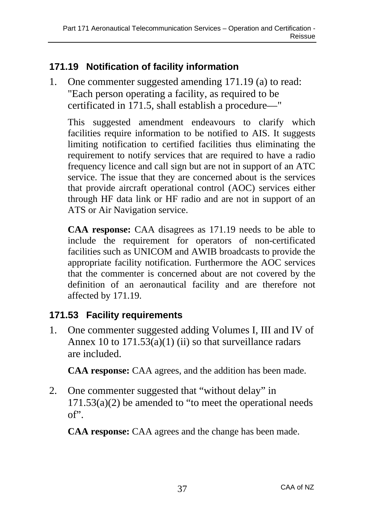# **171.19 Notification of facility information**

1. One commenter suggested amending 171.19 (a) to read: "Each person operating a facility, as required to be certificated in 171.5, shall establish a procedure—"

This suggested amendment endeavours to clarify which facilities require information to be notified to AIS. It suggests limiting notification to certified facilities thus eliminating the requirement to notify services that are required to have a radio frequency licence and call sign but are not in support of an ATC service. The issue that they are concerned about is the services that provide aircraft operational control (AOC) services either through HF data link or HF radio and are not in support of an ATS or Air Navigation service.

**CAA response:** CAA disagrees as 171.19 needs to be able to include the requirement for operators of non-certificated facilities such as UNICOM and AWIB broadcasts to provide the appropriate facility notification. Furthermore the AOC services that the commenter is concerned about are not covered by the definition of an aeronautical facility and are therefore not affected by 171.19.

## **171.53 Facility requirements**

1. One commenter suggested adding Volumes I, III and IV of Annex 10 to  $171.53(a)(1)$  (ii) so that surveillance radars are included.

**CAA response:** CAA agrees, and the addition has been made.

2. One commenter suggested that "without delay" in  $171.53(a)(2)$  be amended to "to meet the operational needs" of".

**CAA response:** CAA agrees and the change has been made.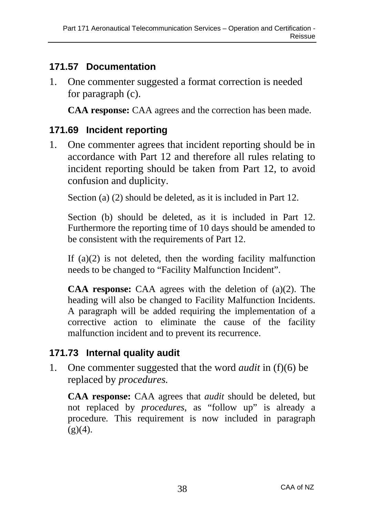## **171.57 Documentation**

1. One commenter suggested a format correction is needed for paragraph (c).

**CAA response:** CAA agrees and the correction has been made.

## **171.69 Incident reporting**

1. One commenter agrees that incident reporting should be in accordance with Part 12 and therefore all rules relating to incident reporting should be taken from Part 12, to avoid confusion and duplicity.

Section (a) (2) should be deleted, as it is included in Part 12.

Section (b) should be deleted, as it is included in Part 12. Furthermore the reporting time of 10 days should be amended to be consistent with the requirements of Part 12.

If  $(a)(2)$  is not deleted, then the wording facility malfunction needs to be changed to "Facility Malfunction Incident".

**CAA response:** CAA agrees with the deletion of (a)(2). The heading will also be changed to Facility Malfunction Incidents. A paragraph will be added requiring the implementation of a corrective action to eliminate the cause of the facility malfunction incident and to prevent its recurrence.

# **171.73 Internal quality audit**

1. One commenter suggested that the word *audit* in (f)(6) be replaced by *procedures.*

**CAA response:** CAA agrees that *audit* should be deleted, but not replaced by *procedures*, as "follow up" is already a procedure*.* This requirement is now included in paragraph  $(g)(4)$ .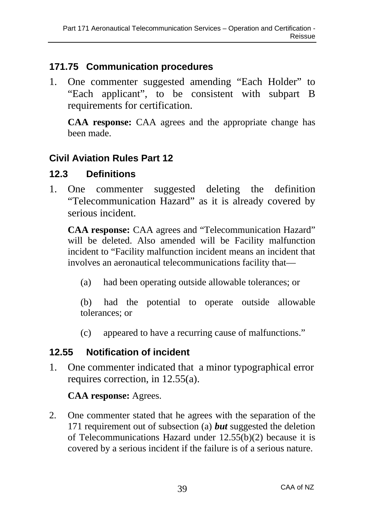## **171.75 Communication procedures**

1. One commenter suggested amending "Each Holder" to "Each applicant", to be consistent with subpart B requirements for certification.

**CAA response:** CAA agrees and the appropriate change has been made.

# **Civil Aviation Rules Part 12**

### **12.3 Definitions**

1. One commenter suggested deleting the definition "Telecommunication Hazard" as it is already covered by serious incident.

**CAA response:** CAA agrees and "Telecommunication Hazard" will be deleted. Also amended will be Facility malfunction incident to "Facility malfunction incident means an incident that involves an aeronautical telecommunications facility that—

(a) had been operating outside allowable tolerances; or

(b) had the potential to operate outside allowable tolerances; or

(c) appeared to have a recurring cause of malfunctions."

## **12.55 Notification of incident**

1. One commenter indicated that a minor typographical error requires correction, in 12.55(a).

### **CAA response:** Agrees.

2. One commenter stated that he agrees with the separation of the 171 requirement out of subsection (a) *but* suggested the deletion of Telecommunications Hazard under 12.55(b)(2) because it is covered by a serious incident if the failure is of a serious nature.